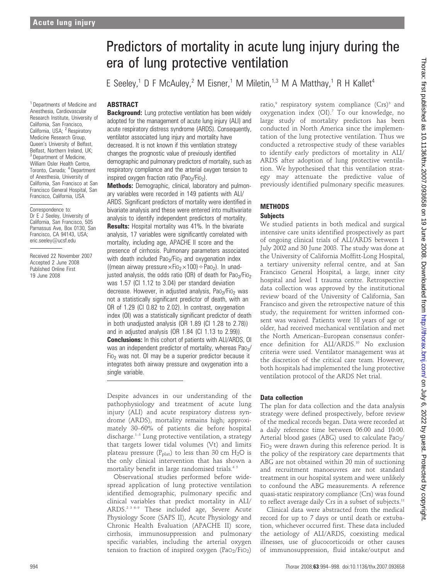<sup>1</sup> Departments of Medicine and Anesthesia, Cardiovascular Research Institute, University of California, San Francisco, California, USA; <sup>2</sup> Respiratory Medicine Research Group, Queen's University of Belfast, Belfast, Northern Ireland, UK; <sup>3</sup> Department of Medicine, William Osler Health Centre, Toronto, Canada; <sup>4</sup> Department of Anesthesia, University of California, San Francisco at San Francisco General Hospital, San Francisco, California, USA

Correspondence to: Dr E J Seeley, University of California, San Francisco, 505 Parnassus Ave, Box 0130, San Francisco, CA 94143, USA; eric.seeley@ucsf.edu

Received 22 November 2007 Accepted 2 June 2008 Published Online First 19 June 2008

# Predictors of mortality in acute lung injury during the era of lung protective ventilation

E Seeley,<sup>1</sup> D F McAuley,<sup>2</sup> M Eisner,<sup>1</sup> M Miletin,<sup>1,3</sup> M A Matthay,<sup>1</sup> R H Kallet<sup>4</sup>

#### ABSTRACT

**Background:** Lung protective ventilation has been widely adopted for the management of acute lung injury (ALI) and acute respiratory distress syndrome (ARDS). Consequently, ventilator associated lung injury and mortality have decreased. It is not known if this ventilation strategy changes the prognostic value of previously identified demographic and pulmonary predictors of mortality, such as respiratory compliance and the arterial oxygen tension to inspired oxygen fraction ratio (Pao<sub>2</sub>/Fio<sub>2</sub>).

Methods: Demographic, clinical, laboratory and pulmonary variables were recorded in 149 patients with ALI/ ARDS. Significant predictors of mortality were identified in bivariate analysis and these were entered into multivariate analysis to identify independent predictors of mortality. **Results:** Hospital mortality was 41%. In the bivariate analysis, 17 variables were significantly correlated with mortality, including age, APACHE II score and the presence of cirrhosis. Pulmonary parameters associated with death included  $Pao<sub>2</sub>/Fio<sub>2</sub>$  and oxygenation index ((mean airway pressure  $\times$ Fio<sub>2</sub> $\times$ 100)  $\div$  Pao<sub>2</sub>). In unadjusted analysis, the odds ratio (OR) of death for Pao<sub>2</sub>/Fio<sub>2</sub> was 1.57 (CI 1.12 to 3.04) per standard deviation decrease. However, in adjusted analysis,  $PaO<sub>2</sub>/FiO<sub>2</sub>$  was not a statistically significant predictor of death, with an OR of 1.29 (CI 0.82 to 2.02). In contrast, oxygenation index (OI) was a statistically significant predictor of death in both unadjusted analysis (OR 1.89 (CI 1.28 to 2.78)) and in adjusted analysis (OR 1.84 (CI 1.13 to 2.99)). **Conclusions:** In this cohort of patients with ALI/ARDS, OI was an independent predictor of mortality, whereas Pao<sub>2</sub>/ Fio<sub>2</sub> was not. OI may be a superior predictor because it integrates both airway pressure and oxygenation into a single variable.

Despite advances in our understanding of the pathophysiology and treatment of acute lung injury (ALI) and acute respiratory distress syndrome (ARDS), mortality remains high; approximately 30–60% of patients die before hospital discharge.<sup>1–3</sup> Lung protective ventilation, a strategy that targets lower tidal volumes (Vt) and limits plateau pressure ( $P_{\text{plat}}$ ) to less than 30 cm H<sub>2</sub>O is the only clinical intervention that has shown a mortality benefit in large randomised trials.<sup>45</sup>

Observational studies performed before widespread application of lung protective ventilation identified demographic, pulmonary specific and clinical variables that predict mortality in ALI/ ARDS.2 3 6–9 These included age, Severe Acute Physiology Score (SAPS II), Acute Physiology and Chronic Health Evaluation (APACHE II) score, cirrhosis, immunosuppression and pulmonary specific variables, including the arterial oxygen tension to fraction of inspired oxygen (PaO<sub>2</sub>/FiO<sub>2</sub>)

ratio.<sup>9</sup> respiratory system compliance (Crs)<sup>3</sup> and oxygenation index (OI).7 To our knowledge, no large study of mortality predictors has been conducted in North America since the implementation of the lung protective ventilation. Thus we conducted a retrospective study of these variables to identify early predictors of mortality in ALI/ ARDS after adoption of lung protective ventilation. We hypothesised that this ventilation strategy may attenuate the predictive value of previously identified pulmonary specific measures.

## **METHODS**

#### **Subjects**

We studied patients in both medical and surgical intensive care units identified prospectively as part of ongoing clinical trials of ALI/ARDS between 1 July 2002 and 30 June 2003. The study was done at the University of California Moffitt-Long Hospital, a tertiary university referral centre, and at San Francisco General Hospital, a large, inner city hospital and level 1 trauma centre. Retrospective data collection was approved by the institutional review board of the University of California, San Francisco and given the retrospective nature of this study, the requirement for written informed consent was waived. Patients were 18 years of age or older, had received mechanical ventilation and met the North American–European consensus conference definition for ALI/ARDS.10 No exclusion criteria were used. Ventilator management was at the discretion of the critical care team. However, both hospitals had implemented the lung protective ventilation protocol of the ARDS Net trial.

#### Data collection

The plan for data collection and the data analysis strategy were defined prospectively, before review of the medical records began. Data were recorded at a daily reference time between 06:00 and 10:00. Arterial blood gases (ABG) used to calculate PaO<sub>2</sub>/ Fi $o<sub>2</sub>$  were drawn during this reference period. It is the policy of the respiratory care departments that ABG are not obtained within 20 min of suctioning and recruitment manoeuvres are not standard treatment in our hospital system and were unlikely to confound the ABG measurements. A reference quasi-static respiratory compliance (Crs) was found to reflect average daily Crs in a subset of subjects.<sup>11</sup>

Clinical data were abstracted from the medical record for up to 7 days or until death or extubation, whichever occurred first. These data included the aetiology of ALI/ARDS, coexisting medical illnesses, use of glucocorticoids or other causes of immunosuppression, fluid intake/output and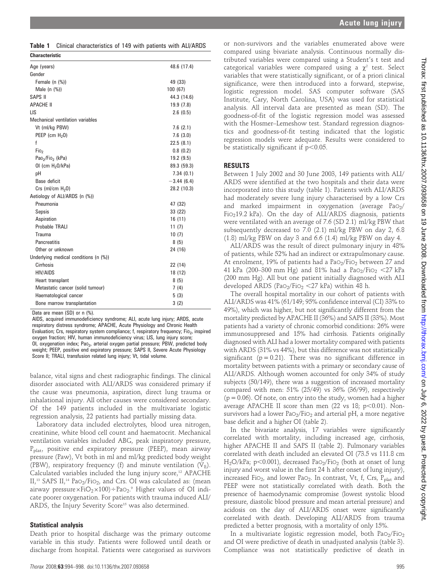| <b>Characteristic</b>                    |              |
|------------------------------------------|--------------|
| Age (years)                              | 48.6 (17.4)  |
| Gender                                   |              |
| Female $(n \ (\%)$                       | 49 (33)      |
| Male $(n \ (\%)$                         | 100(67)      |
| SAPS II                                  | 44.3 (14.6)  |
| <b>APACHE II</b>                         | 19.9(7.8)    |
| LIS                                      | 2.6(0.5)     |
| Mechanical ventilation variables         |              |
| Vt (ml/kg PBW)                           | 7.6(2.1)     |
| PEEP (cm $H20$ )                         | 7.6(3.0)     |
| f                                        | 22.5(8.1)    |
| Fio <sub>2</sub>                         | 0.8(0.2)     |
| Pao <sub>2</sub> /Fio <sub>2</sub> (kPa) | 19.2(9.5)    |
| OI (cm $H20/kPa$ )                       | 89.3 (59.3)  |
| pH                                       | 7.34(0.1)    |
| Base deficit                             | $-3.44(6.4)$ |
| Crs (ml/cm $H20$ )                       | 28.2 (10.3)  |
| Aetiology of ALI/ARDS (n (%))            |              |
| Pneumonia                                | 47 (32)      |
| Sepsis                                   | 33 (22)      |
| Aspiration                               | 16(11)       |
| Probable TRALI                           | 11(7)        |
| Trauma                                   | 10(7)        |
| <b>Pancreatitis</b>                      | 8(5)         |
| Other or unknown                         | 24 (16)      |
| Underlying medical conditions (n (%))    |              |
| Cirrhosis                                | 22 (14)      |
| <b>HIV/AIDS</b>                          | 18 (12)      |
| Heart transplant                         | 8(5)         |
| Metastatic cancer (solid tumour)         | 7(4)         |
| Haematological cancer                    | 5(3)         |
| Bone marrow transplantation              | 3(2)         |

Data are mean (SD) or n (%).

AIDS, acquired immunodeficiency syndrome; ALI, acute lung injury; ARDS, acute respiratory distress syndrome; APACHE, Acute Physiology and Chronic Health Evaluation; Crs, respiratory system compliance; f, respiratory frequency; Fio<sub>2</sub>, inspired oxygen fraction; HIV, human immunodeficiency virus; LIS, lung injury score; OI, oxygenation index; Pao<sub>2</sub>, arterial oxygen partial pressure; PBW, predicted body weight; PEEP, positive end expiratory pressure; SAPS II, Severe Acute Physiology Score II; TRALI, transfusion related lung injury; Vt, tidal volume.

balance, vital signs and chest radiographic findings. The clinical disorder associated with ALI/ARDS was considered primary if the cause was pneumonia, aspiration, direct lung trauma or inhalational injury. All other causes were considered secondary. Of the 149 patients included in the multivariate logistic regression analysis, 22 patients had partially missing data.

Laboratory data included electrolytes, blood urea nitrogen, creatinine, white blood cell count and haematocrit. Mechanical ventilation variables included ABG, peak inspiratory pressure,  $P_{\text{plat}}$ , positive end expiratory pressure (PEEP), mean airway pressure (Paw), Vt both in ml and ml/kg predicted body weight (PBW), respiratory frequency (f) and minute ventilation  $(V_F)$ . Calculated variables included the lung injury score, $12$  APACHE II,<sup>13</sup> SAPS II,<sup>14</sup> PaO<sub>2</sub>/FiO<sub>2</sub>, and Crs. OI was calculated as: (mean airway pressure $\times$ FiO $_2\times100$ )÷PaO $_2.^\circ$  Higher values of OI indicate poorer oxygenation. For patients with trauma induced ALI/ ARDS, the Injury Severity Score<sup>15</sup> was also determined.

### Statistical analysis

Death prior to hospital discharge was the primary outcome variable in this study. Patients were followed until death or discharge from hospital. Patients were categorised as survivors

or non-survivors and the variables enumerated above were compared using bivariate analysis. Continuous normally distributed variables were compared using a Student's t test and categorical variables were compared using a  $\chi^2$  test. Select variables that were statistically significant, or of a priori clinical significance, were then introduced into a forward, stepwise, logistic regression model. SAS computer software (SAS Institute, Cary, North Carolina, USA) was used for statistical analysis. All interval data are presented as mean (SD). The goodness-of-fit of the logistic regression model was assessed with the Hosmer–Lemeshow test. Standard regression diagnostics and goodness-of-fit testing indicated that the logistic regression models were adequate. Results were considered to be statistically significant if  $p<0.05$ .

#### RESULTS

Between 1 July 2002 and 30 June 2003, 149 patients with ALI/ ARDS were identified at the two hospitals and their data were incorporated into this study (table 1). Patients with ALI/ARDS had moderately severe lung injury characterised by a low Crs and marked impairment in oxygenation (average  $PaO<sub>2</sub>/$ FiO219.2 kPa). On the day of ALI/ARDS diagnosis, patients were ventilated with an average of 7.6 (SD 2.1) ml/kg PBW that subsequently decreased to 7.0 (2.1) ml/kg PBW on day 2, 6.8 (1.8) ml/kg PBW on day 3 and 6.6 (1.4) ml/kg PBW on day 4.

ALI/ARDS was the result of direct pulmonary injury in 48% of patients, while 52% had an indirect or extrapulmonary cause. At enrolment, 19% of patients had a  $PaO<sub>2</sub>/FiO<sub>2</sub>$  between 27 and 41 kPa (200–300 mm Hg) and 81% had a PaO<sub>2</sub>/FiO<sub>2</sub> <27 kPa (200 mm Hg). All but one patient initially diagnosed with ALI developed ARDS (PaO<sub>2</sub>/FiO<sub>2</sub> <27 kPa) within 48 h.

The overall hospital mortality in our cohort of patients with ALI/ARDS was 41% (61/149; 95% confidence interval (CI) 33% to 49%), which was higher, but not significantly different from the mortality predicted by APACHE II (36%) and SAPS II (33%). Most patients had a variety of chronic comorbid conditions: 26% were immunosuppresed and 15% had cirrhosis. Patients originally diagnosed with ALI had a lower mortality compared with patients with ARDS (31% vs 44%), but this difference was not statistically significant ( $p = 0.21$ ). There was no significant difference in mortality between patients with a primary or secondary cause of ALI/ARDS. Although women accounted for only 34% of study subjects (50/149), there was a suggestion of increased mortality compared with men: 51% (25/49) vs 36% (36/99), respectively  $(p = 0.06)$ . Of note, on entry into the study, women had a higher average APACHE II score than men  $(22 \text{ vs } 18; \text{ p} < 0.01)$ . Nonsurvivors had a lower  $PaO<sub>2</sub>/FiO<sub>2</sub>$  and arterial pH, a more negative base deficit and a higher OI (table 2).

In the bivariate analysis, 17 variables were significantly correlated with mortality, including increased age, cirrhosis, higher APACHE II and SAPS II (table 2). Pulmonary variables correlated with death included an elevated OI (73.5 vs 111.8 cm H<sub>2</sub>O/kPa; p<0.001), decreased PaO<sub>2</sub>/FiO<sub>2</sub> (both at onset of lung injury and worst value in the first 24 h after onset of lung injury), increased Fi $O_2$ , and lower Pa $O_2$ . In contrast, Vt, f, Crs, P<sub>plat</sub> and PEEP were not statistically correlated with death. Both the presence of haemodynamic compromise (lowest systolic blood pressure, diastolic blood pressure and mean arterial pressure) and acidosis on the day of ALI/ARDS onset were significantly correlated with death. Developing ALI/ARDS from trauma predicted a better prognosis, with a mortality of only 15%.

In a multivariate logistic regression model, both  $PaO<sub>2</sub>/FiO<sub>2</sub>$ and OI were predictive of death in unadjusted analysis (table 3). Compliance was not statistically predictive of death in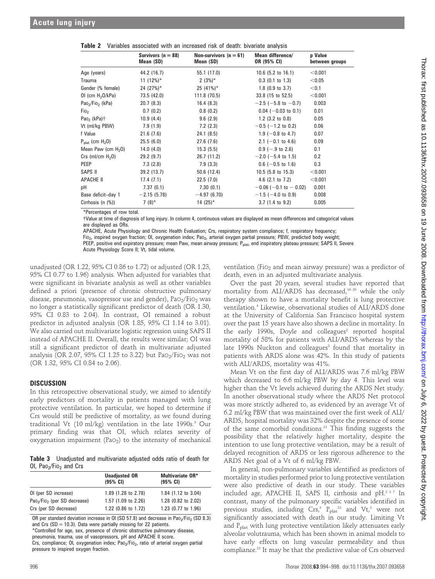|                                          | Survivors $(n = 88)$<br>Mean (SD) | Non-survivors ( $n = 61$ )<br>Mean (SD) | Mean difference/<br>OR (95% CI) | p Value<br>between groups |
|------------------------------------------|-----------------------------------|-----------------------------------------|---------------------------------|---------------------------|
| Age (years)                              | 44.2 (16.7)                       | 55.1 (17.0)                             | $10.6$ (5.2 to 16.1)            | < 0.001                   |
| Trauma                                   | 11 $(12\%)^*$                     | $2(3%)^*$                               | $0.3$ (0.1 to 1.3)              | < 0.05                    |
| Gender (% female)                        | 24 (27%)*                         | $25(41\%)*$                             | $1.8$ (0.9 to 3.7)              | < 0.1                     |
| OI (cm $H_2O/kPa$ )                      | 73.5 (42.0)                       | 111.8 (70.5)                            | 33.8 (15 to 52.5)               | < 0.001                   |
| Pao <sub>2</sub> /Fio <sub>2</sub> (kPa) | 20.7(8.3)                         | 16.4(8.3)                               | $-2.5$ ( $-5.8$ to $-0.7$ )     | 0.003                     |
| Fi0 <sub>2</sub>                         | 0.7(0.2)                          | 0.8(0.2)                                | $0.04$ (-0.03 to 0.1)           | 0.01                      |
| Pao <sub>2</sub> (kPa) $\dagger$         | 10.9(4.4)                         | 9.6(2.9)                                | $1.2$ (3.2 to 0.8)              | 0.05                      |
| Vt (ml/kg PBW)                           | 7.9(1.9)                          | 7.2(2.3)                                | $-0.5$ ( $-1.2$ to 0.2)         | 0.06                      |
| f Value                                  | 21.6(7.6)                         | 24.1(8.5)                               | 1.9 ( $-0.8$ to 4.7)            | 0.07                      |
| $P_{\text{plat}}$ (cm $H_2O$ )           | 25.5(6.0)                         | 27.6(7.6)                               | 2.1 ( $-0.1$ to 4.6)            | 0.09                      |
| Mean Paw (cm $H_2O$ )                    | 14.0(4.0)                         | 15.3(5.5)                               | $0.9$ (-.9 to 2.6)              | 0.1                       |
| Crs (ml/cm $H20$ )                       | 29.2(9.7)                         | 26.7 (11.2)                             | $-2.0$ ( $-5.4$ to 1.5)         | 0.2                       |
| PEEP                                     | 7.3(2.8)                          | 7.9(3.3)                                | $0.6$ (-0.5 to 1.6)             | 0.3                       |
| SAPS II                                  | 39.2 (13.7)                       | 50.6(12.4)                              | $10.5$ (5.8 to 15.3)            | < 0.001                   |
| APACHE II                                | 17.4(7.1)                         | 22.5(7.0)                               | 4.6 $(2.1 \text{ to } 7.2)$     | < 0.001                   |
| pH                                       | 7.37(0.1)                         | 7.30(0.1)                               | $-0.06$ ( $-0.1$ to $-0.02$ )   | 0.001                     |
| Base deficit-day 1                       | $-2.15(5.78)$                     | $-4.97(6.70)$                           | $-1.5$ ( $-4.0$ to 0.9)         | 0.008                     |
| Cirrhosis (n $(\%)$ )                    | $7(8)$ *                          | $14(25)$ *                              | $3.7(1.4 \text{ to } 9.2)$      | 0.005                     |

Table 2 Variables associated with an increased risk of death: bivariate analysis

\*Percentages of row total.

{Value at time of diagnosis of lung injury. In column 4, continuous values are displayed as mean differences and categorical values are displayed as ORs.

APACHE, Acute Physiology and Chronic Health Evaluation; Crs, respiratory system compliance; f, respiratory frequency;

Fio<sub>2</sub>, inspired oxygen fraction; OI, oxygenation index; Pao<sub>2</sub>, arterial oxygen partial pressure; PBW, predicted body weight; PEEP, positive end expiratory pressure; mean Paw, mean airway pressure; P<sub>plat</sub>, end inspiratory plateau pressure; SAPS II, Severe Acute Physiology Score II; Vt, tidal volume.

unadjusted (OR 1.22, 95% CI 0.86 to 1.72) or adjusted (OR 1.23, 95% CI 0.77 to 1.96) analysis. When adjusted for variables that were significant in bivariate analysis as well as other variables defined a priori (presence of chronic obstructive pulmonary disease, pneumonia, vasopressor use and gender),  $PaO<sub>2</sub>/FiO<sub>2</sub>$  was no longer a statistically significant predictor of death (OR 1.30, 95% CI 0.83 to 2.04). In contrast, OI remained a robust predictor in adjusted analysis (OR 1.85, 95% CI 1.14 to 3.01). We also carried out multivariate logistic regression using SAPS II instead of APACHE II. Overall, the results were similar; OI was still a significant predictor of death in multivariate adjusted analysis (OR 2.07, 95% CI 1.25 to 3.22) but  $PaO<sub>2</sub>/FiO<sub>2</sub>$  was not (OR 1.32, 95% CI 0.84 to 2.06).

#### DISCUSSION

In this retrospective observational study, we aimed to identify early predictors of mortality in patients managed with lung protective ventilation. In particular, we hoped to determine if Crs would still be predictive of mortality, as we found during traditional Vt (10 ml/kg) ventilation in the late 1990s. $3$  Our primary finding was that OI, which relates severity of oxygenation impairment (Pa $O_2$ ) to the intensity of mechanical

Table 3 Unadjusted and multivariate adjusted odds ratio of death for OI, Pao<sub>2</sub>/Fio<sub>2</sub> and Crs

|                                                      | <b>Unadjusted OR</b><br>$(95%$ CI) | <b>Multivariate OR*</b><br>$(95% \; \text{Cl})$ |
|------------------------------------------------------|------------------------------------|-------------------------------------------------|
| OI (per SD increase)                                 | 1.89 (1.28 to 2.78)                | 1.84 (1.12 to 3.04)                             |
| Pao <sub>2</sub> /Fio <sub>2</sub> (per SD decrease) | 1.57 (1.09 to 2.26)                | 1.28 (0.82 to 2.02)                             |
| Crs (per SD decrease)                                | 1.22 (0.86 to 1.72)                | 1.23 (0.77 to 1.96)                             |

OR per standard deviation increase in OI (SD 57.8) and decrease in Pao<sub>2</sub>/Fio<sub>2</sub> (SD 8.3) and Crs ( $SD = 10.3$ ). Data were partially missing for 22 patients. \*Controlled for age, sex, presence of chronic obstructive pulmonary disease,

pneumonia, trauma, use of vasopressors, pH and APACHE II score.

Crs, compliance; OI, oxygenation index; Pao<sub>2</sub>/Fio<sub>2</sub>, ratio of arterial oxygen partial pressure to inspired oxygen fraction.

ventilation (FiO<sub>2</sub> and mean airway pressure) was a predictor of death, even in an adjusted multivariate analysis.

Over the past 20 years, several studies have reported that mortality from ALI/ARDS has decreased,<sup>16-20</sup> while the only therapy shown to have a mortality benefit is lung protective ventilation.4 Likewise, observational studies of ALI/ARDS done at the University of California San Francisco hospital system over the past 15 years have also shown a decline in mortality. In the early 1990s, Doyle and colleagues<sup>2</sup> reported hospital mortality of 58% for patients with ALI/ARDS whereas by the late 1990s Nuckton and colleagues<sup>3</sup> found that mortality in patients with ARDS alone was 42%. In this study of patients with ALI/ARDS, mortality was 41%.

Mean Vt on the first day of ALI/ARDS was 7.6 ml/kg PBW which decreased to 6.6 ml/kg PBW by day 4. This level was higher than the Vt levels achieved during the ARDS Net study. In another observational study where the ARDS Net protocol was more strictly adhered to, as evidenced by an average Vt of 6.2 ml/kg PBW that was maintained over the first week of ALI/ ARDS, hospital mortality was 32% despite the presence of some of the same comorbid conditions.<sup>21</sup> This finding suggests the possibility that the relatively higher mortality, despite the intention to use lung protective ventilation, may be a result of delayed recognition of ARDS or less rigorous adherence to the ARDS Net goal of a Vt of 6 ml/kg PBW.

In general, non-pulmonary variables identified as predictors of mortality in studies performed prior to lung protective ventilation were also predictive of death in our study. These variables included age, APACHE II, SAPS II, cirrhosis and pH.237 In contrast, many of the pulmonary specific variables identified in previous studies, including  $Crs$ ,<sup>3</sup>  $P_{\text{plat}}^{22}$  and  $Vt$ ,<sup>3</sup> were not significantly associated with death in our study. Limiting Vt and P<sub>plat</sub> with lung protective ventilation likely attenuates early alveolar volutrauma, which has been shown in animal models to have early effects on lung vascular permeability and thus compliance.22 It may be that the predictive value of Crs observed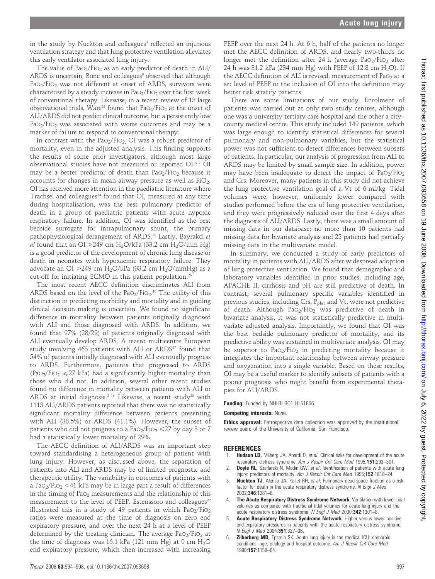in the study by Nuckton and colleagues<sup>3</sup> reflected an injurious ventilation strategy and that lung protective ventilation alleviates this early ventilator associated lung injury.

The value of  $PaO<sub>2</sub>/FiO<sub>2</sub>$  as an early predictor of death in ALI/ ARDS is uncertain. Bone and colleagues<sup>9</sup> observed that although  $PaO<sub>2</sub>/FiO<sub>2</sub>$  was not different at onset of ARDS, survivors were characterised by a steady increase in  $PaO<sub>2</sub>/FiO<sub>2</sub>$  over the first week of conventional therapy. Likewise, in a recent review of 13 large observational trials, Ware<sup>23</sup> found that  $PaO<sub>2</sub>/FiO<sub>2</sub>$  at the onset of ALI/ARDS did not predict clinical outcome, but a persistently low PaO<sub>2</sub>/FiO<sub>2</sub> was associated with worse outcomes and may be a marker of failure to respond to conventional therapy.

In contrast with the PaO<sub>2</sub>/FiO<sub>2</sub> OI was a robust predictor of mortality, even in the adjusted analysis. This finding supports the results of some prior investigators, although most large observational studies have not measured or reported OI.3 7 OI may be a better predictor of death than  $PaO<sub>2</sub>/FiO<sub>2</sub>$  because it accounts for changes in mean airway pressure as well as  $FiO<sub>2</sub>$ . OI has received more attention in the paediatric literature where Trachsel and colleagues<sup>24</sup> found that OI, measured at any time during hospitalisation, was the best pulmonary predictor of death in a group of paediatric patients with acute hypoxic respiratory failure. In addition, OI was identified as the best bedside surrogate for intrapulmonary shunt, the primary pathophysiological derangement of ARDS.<sup>25</sup> Lastly, Bayrakci et al found that an OI > 249 cm  $H_2O/kPa$  (33.2 cm  $H_2O/mm$  Hg) is a good predictor of the development of chronic lung disease or death in neonates with hypoxaemic respiratory failure. They advocate an OI > 249 cm  $H_2O/kPa$  (33.2 cm  $H_2O/mmHg$ ) as a cut-off for initiating ECMO in this patient population.<sup>26</sup>

The most recent AECC definition discriminates ALI from ARDS based on the level of the  $PaO<sub>2</sub>/FiO<sub>2</sub>$ .<sup>10</sup> The utility of this distinction in predicting morbidity and mortality and in guiding clinical decision making is uncertain. We found no significant difference in mortality between patients originally diagnosed with ALI and those diagnosed with ARDS. In addition, we found that 97% (28/29) of patients originally diagnosed with ALI eventually develop ARDS. A recent multicentre European study involving  $463$  patients with ALI or ARDS<sup>27</sup> found that 54% of patients initially diagnosed with ALI eventually progress to ARDS. Furthermore, patients that progressed to ARDS (PaO<sub>2</sub>/FiO<sub>2</sub>  $\leq$  27 kPa) had a significantly higher mortality than those who did not. In addition, several other recent studies found no difference in mortality between patients with ALI or ARDS at initial diagnosis.<sup>2 16</sup> Likewise, a recent study<sup>28</sup> with 1113 ALI/ARDS patients reported that there was no statistically significant mortality difference between patients presenting with ALI (38.5%) or ARDS (41.1%). However, the subset of patients who did not progress to a  $PaO<sub>2</sub>/FiO<sub>2</sub> < 27$  by day 3 or 7 had a statistically lower mortality of 29%.

The AECC definition of ALI/ARDS was an important step toward standardising a heterogeneous group of patient with lung injury. However, as discussed above, the separation of patients into ALI and ARDS may be of limited prognostic and therapeutic utility. The variability in outcomes of patients with a PaO<sub>2</sub>/FiO<sub>2</sub> <41 kPa may be in large part a result of differences in the timing of Pa $O_2$  measurements and the relationship of this measurement to the level of PEEP. Estenssoro and colleagues<sup>29</sup> illustrated this in a study of 49 patients in which  $PaO<sub>2</sub>/FiO<sub>2</sub>$ ratios were measured at the time of diagnosis on zero end expiratory pressure, and over the next 24 h at a level of PEEP determined by the treating clinician. The average  $PaO<sub>2</sub>/FiO<sub>2</sub>$  at the time of diagnosis was 16.1 kPa (121 mm Hg) at 0 cm  $H_2O$ end expiratory pressure, which then increased with increasing

PEEP over the next 24 h. At 6 h, half of the patients no longer met the AECC definition of ARDS, and nearly two-thirds no longer met the definition after 24 h (average PaO<sub>2</sub>/FiO<sub>2</sub> after 24 h was 31.2 kPa (234 mm Hg) with PEEP of 12.8 cm H<sub>2</sub>O). If the AECC definition of ALI is revised, measurement of Pa $O<sub>2</sub>$  at a set level of PEEP or the inclusion of OI into the definition may better risk stratify patients.

There are some limitations of our study. Enrolment of patients was carried out at only two study centres, although one was a university tertiary care hospital and the other a city– county medical centre. This study included 149 patients, which was large enough to identify statistical differences for several pulmonary and non-pulmonary variables, but the statistical power was not sufficient to detect differences between subsets of patients. In particular, our analysis of progression from ALI to ARDS may be limited by small sample size. In addition, power may have been inadequate to detect the impact of  $PaO<sub>2</sub>/FiO<sub>2</sub>$ and Crs. Moreover, many patients in this study did not achieve the lung protective ventilation goal of a Vt of 6 ml/kg. Tidal volumes were, however, uniformly lower compared with studies performed before the era of lung protective ventilation, and they were progressively reduced over the first 4 days after the diagnosis of ALI/ARDS. Lastly, there was a small amount of missing data in our database; no more than 10 patients had missing data for bivariate analysis and 22 patients had partially missing data in the multivariate model.

In summary, we conducted a study of early predictors of mortality in patients with ALI/ARDS after widespread adoption of lung protective ventilation. We found that demographic and laboratory variables identified in prior studies, including age, APACHE II, cirrhosis and pH are still predictive of death. In contrast, several pulmonary specific variables identified in previous studies, including Crs,  $P_{\text{plat}}$  and Vt, were not predictive of death. Although  $PaO<sub>2</sub>/FiO<sub>2</sub>$  was predictive of death in bivariate analysis, it was not statistically predictive in multivariate adjusted analysis. Importantly, we found that OI was the best bedside pulmonary predictor of mortality, and its predictive ability was sustained in multivariate analysis. OI may be superior to  $PaO<sub>2</sub>/FiO<sub>2</sub>$  in predicting mortality because it integrates the important relationship between airway pressure and oxygenation into a single variable. Based on these results, OI may be a useful marker to identify subsets of patients with a poorer prognosis who might benefit from experimental therapies for ALI/ARDS.

Funding: Funded by NHLBI RO1 HL51856.

#### Competing interests: None.

**Ethics approval:** Retrospective data collection was approved by the institutional review board of the University of California, San Francisco.

#### REFERENCES

- 1. Hudson LD, Milberg JA, Anardi D, et al. Clinical risks for development of the acute respiratory distress syndrome. Am J Respir Crit Care Med 1995;151:293-301.
- **Doyle RL,** Szaflarski N, Modin GW, et al. Identification of patients with acute lung injury: predictors of mortality. Am J Respir Crit Care Med 1995;152:1818-24.
- 3. **Nuckton TJ,** Alonso JA, Kallet RH, et al. Pulmonary dead-space fraction as a risk factor for death in the acute respiratory distress syndrome. N Engl J Med 2002;346:1281–6.
- 4. The Acute Respiratory Distress Syndrome Network. Ventilation with lower tidal volumes as compared with traditional tidal volumes for acute lung injury and the acute respiratory distress syndrome. N Engl J Med 2000;342:1301-8.
- Acute Respiratory Distress Syndrome Network. Higher versus lower positive end-expiratory pressures in patients with the acute respiratory distress syndrome. N Engl J Med 2004;351:327–36.
- 6. Zilberberg MD, Epstein SK. Acute lung injury in the medical ICU: comorbid conditions, age, etiology and hospital outcome. Am J Respir Crit Care Med 1998;157:1159–64.